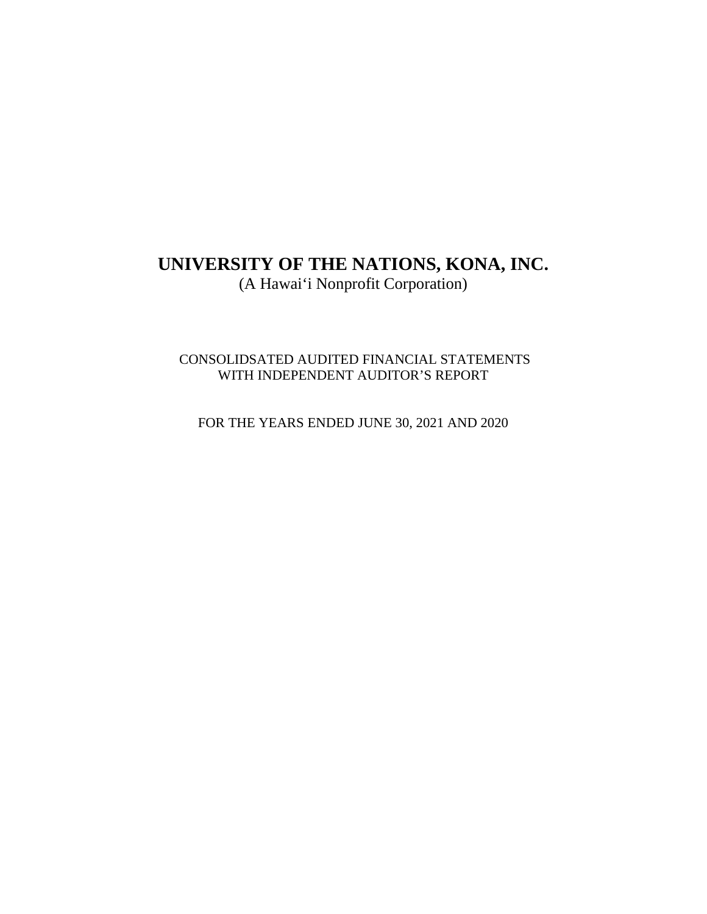(A Hawai'i Nonprofit Corporation)

## CONSOLIDSATED AUDITED FINANCIAL STATEMENTS WITH INDEPENDENT AUDITOR'S REPORT

FOR THE YEARS ENDED JUNE 30, 2021 AND 2020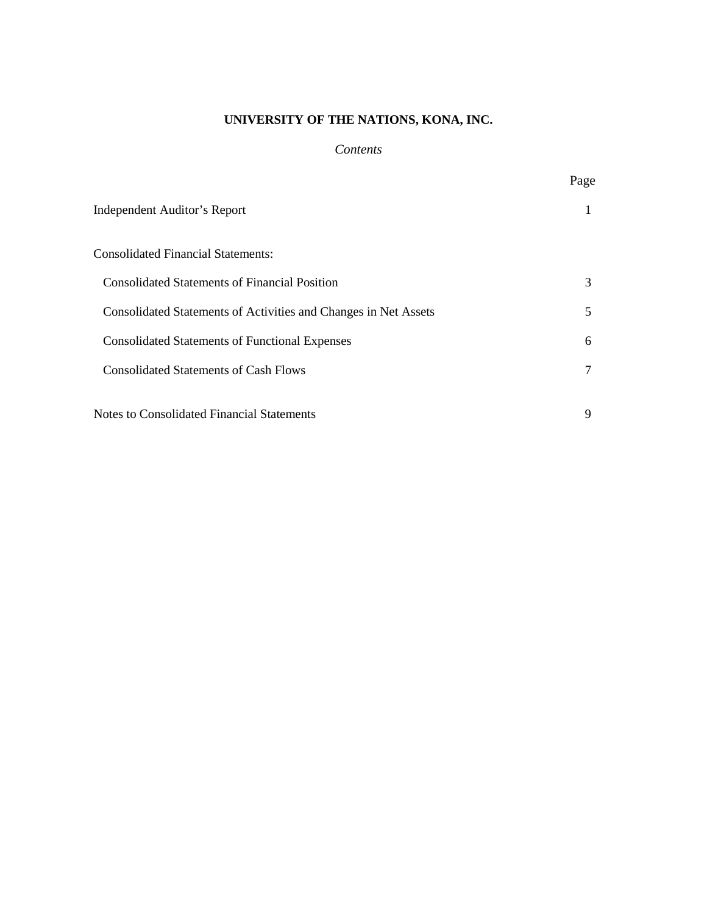## *Contents*

Page

| <b>Independent Auditor's Report</b>                             |        |
|-----------------------------------------------------------------|--------|
| <b>Consolidated Financial Statements:</b>                       |        |
| <b>Consolidated Statements of Financial Position</b>            | 3      |
| Consolidated Statements of Activities and Changes in Net Assets | 5      |
| <b>Consolidated Statements of Functional Expenses</b>           | 6      |
| <b>Consolidated Statements of Cash Flows</b>                    | $\tau$ |
| <b>Notes to Consolidated Financial Statements</b>               | 9      |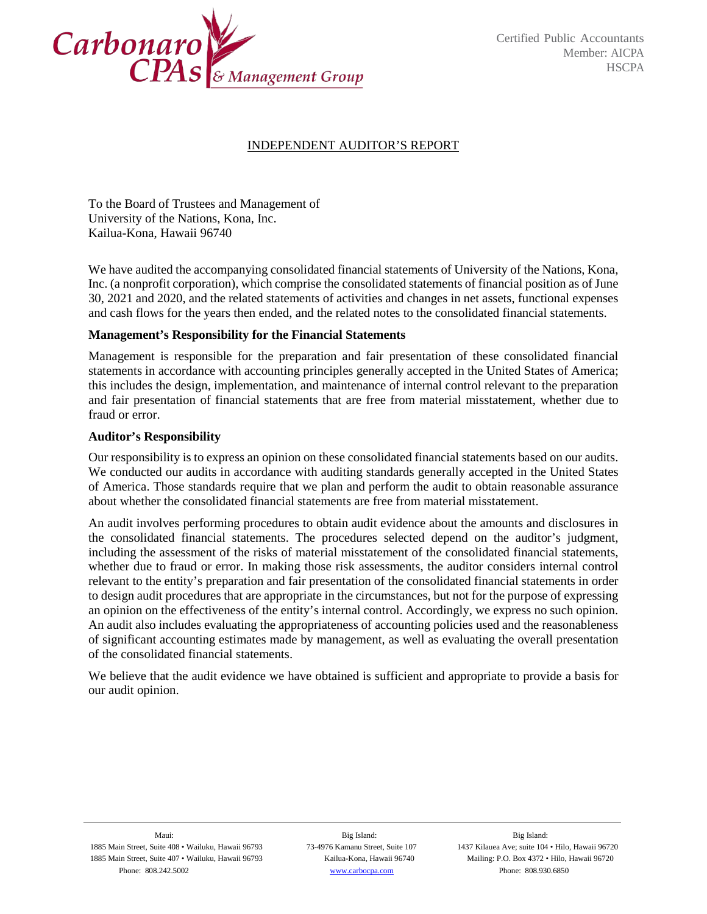

## INDEPENDENT AUDITOR'S REPORT

To the Board of Trustees and Management of University of the Nations, Kona, Inc. Kailua-Kona, Hawaii 96740

We have audited the accompanying consolidated financial statements of University of the Nations, Kona, Inc. (a nonprofit corporation), which comprise the consolidated statements of financial position as of June 30, 2021 and 2020, and the related statements of activities and changes in net assets, functional expenses and cash flows for the years then ended, and the related notes to the consolidated financial statements.

#### **Management's Responsibility for the Financial Statements**

Management is responsible for the preparation and fair presentation of these consolidated financial statements in accordance with accounting principles generally accepted in the United States of America; this includes the design, implementation, and maintenance of internal control relevant to the preparation and fair presentation of financial statements that are free from material misstatement, whether due to fraud or error.

#### **Auditor's Responsibility**

Our responsibility is to express an opinion on these consolidated financial statements based on our audits. We conducted our audits in accordance with auditing standards generally accepted in the United States of America. Those standards require that we plan and perform the audit to obtain reasonable assurance about whether the consolidated financial statements are free from material misstatement.

An audit involves performing procedures to obtain audit evidence about the amounts and disclosures in the consolidated financial statements. The procedures selected depend on the auditor's judgment, including the assessment of the risks of material misstatement of the consolidated financial statements, whether due to fraud or error. In making those risk assessments, the auditor considers internal control relevant to the entity's preparation and fair presentation of the consolidated financial statements in order to design audit procedures that are appropriate in the circumstances, but not for the purpose of expressing an opinion on the effectiveness of the entity's internal control. Accordingly, we express no such opinion. An audit also includes evaluating the appropriateness of accounting policies used and the reasonableness of significant accounting estimates made by management, as well as evaluating the overall presentation of the consolidated financial statements.

We believe that the audit evidence we have obtained is sufficient and appropriate to provide a basis for our audit opinion.

Maui: Big Island: Big Island: Big Island: Big Island: Big Island: Big Island: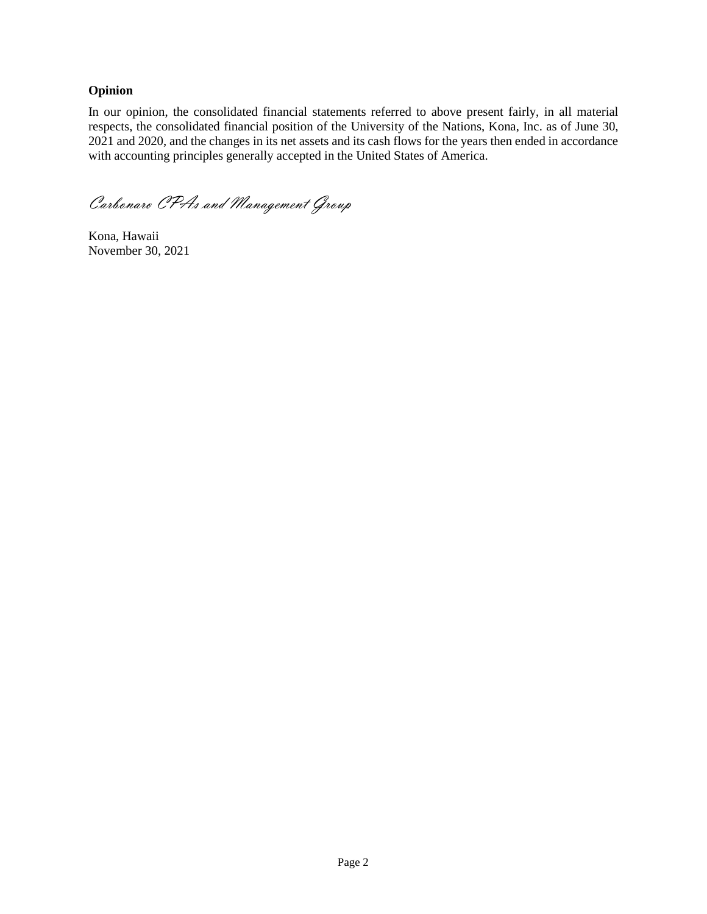## **Opinion**

In our opinion, the consolidated financial statements referred to above present fairly, in all material respects, the consolidated financial position of the University of the Nations, Kona, Inc. as of June 30, 2021 and 2020, and the changes in its net assets and its cash flows for the years then ended in accordance with accounting principles generally accepted in the United States of America.

Carbonaro CPAs and Management Group

Kona, Hawaii November 30, 2021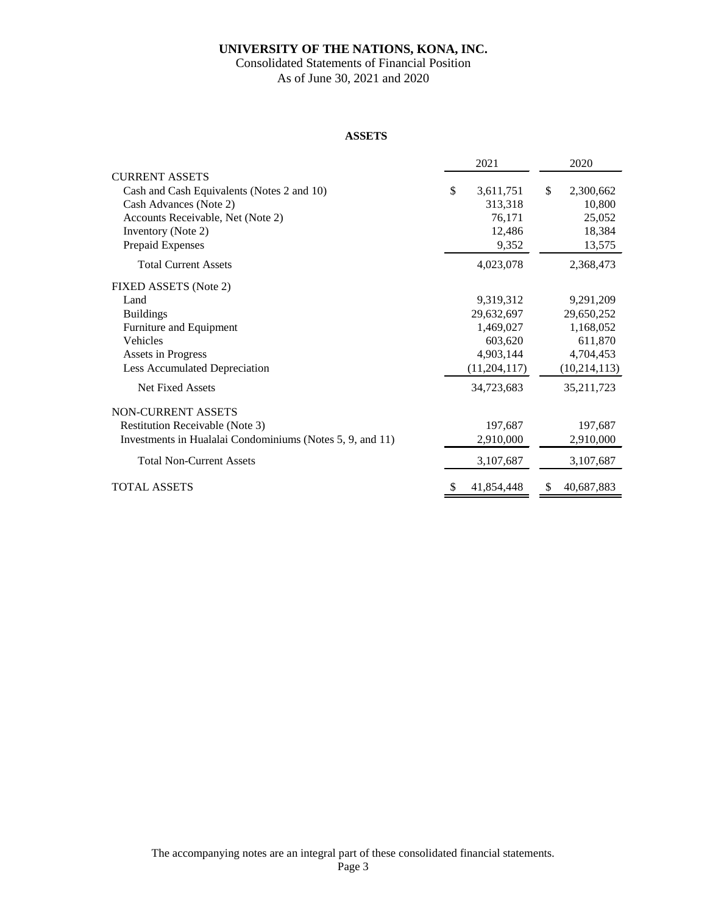#### Consolidated Statements of Financial Position As of June 30, 2021 and 2020

#### **ASSETS**

|                                                           |    | 2021         | 2020             |
|-----------------------------------------------------------|----|--------------|------------------|
| <b>CURRENT ASSETS</b>                                     |    |              |                  |
| Cash and Cash Equivalents (Notes 2 and 10)                | \$ | 3,611,751    | \$<br>2,300,662  |
| Cash Advances (Note 2)                                    |    | 313,318      | 10,800           |
| Accounts Receivable, Net (Note 2)                         |    | 76,171       | 25,052           |
| Inventory (Note 2)                                        |    | 12,486       | 18,384           |
| Prepaid Expenses                                          |    | 9,352        | 13,575           |
| <b>Total Current Assets</b>                               |    | 4,023,078    | 2,368,473        |
| FIXED ASSETS (Note 2)                                     |    |              |                  |
| Land                                                      |    | 9,319,312    | 9,291,209        |
| <b>Buildings</b>                                          |    | 29,632,697   | 29,650,252       |
| Furniture and Equipment                                   |    | 1,469,027    | 1,168,052        |
| Vehicles                                                  |    | 603,620      | 611,870          |
| Assets in Progress                                        |    | 4,903,144    | 4,704,453        |
| Less Accumulated Depreciation                             |    | (11,204,117) | (10,214,113)     |
| <b>Net Fixed Assets</b>                                   |    | 34,723,683   | 35, 211, 723     |
| NON-CURRENT ASSETS                                        |    |              |                  |
| Restitution Receivable (Note 3)                           |    | 197,687      | 197,687          |
| Investments in Hualalai Condominiums (Notes 5, 9, and 11) |    | 2,910,000    | 2,910,000        |
| <b>Total Non-Current Assets</b>                           |    | 3,107,687    | 3,107,687        |
| <b>TOTAL ASSETS</b>                                       | S  | 41,854,448   | \$<br>40,687,883 |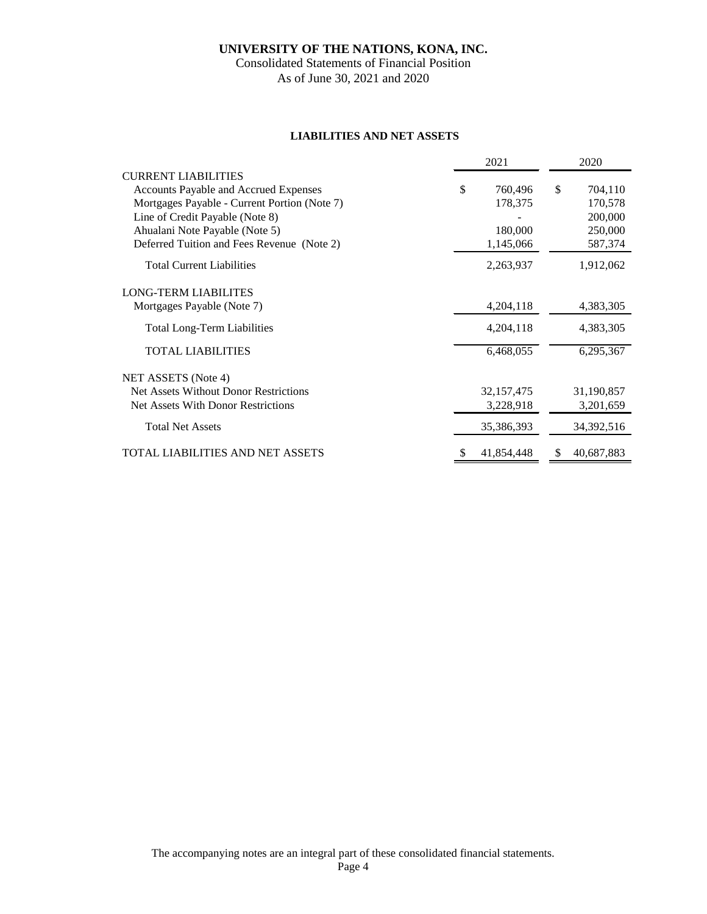#### Consolidated Statements of Financial Position As of June 30, 2021 and 2020

## **LIABILITIES AND NET ASSETS**

|                                              | 2021 |              |    | 2020         |  |  |
|----------------------------------------------|------|--------------|----|--------------|--|--|
| <b>CURRENT LIABILITIES</b>                   |      |              |    |              |  |  |
| Accounts Payable and Accrued Expenses        | \$   | 760,496      | \$ | 704,110      |  |  |
| Mortgages Payable - Current Portion (Note 7) |      | 178,375      |    | 170,578      |  |  |
| Line of Credit Payable (Note 8)              |      |              |    | 200,000      |  |  |
| Ahualani Note Payable (Note 5)               |      | 180,000      |    | 250,000      |  |  |
| Deferred Tuition and Fees Revenue (Note 2)   |      | 1,145,066    |    | 587,374      |  |  |
| <b>Total Current Liabilities</b>             |      | 2,263,937    |    | 1,912,062    |  |  |
| <b>LONG-TERM LIABILITES</b>                  |      |              |    |              |  |  |
| Mortgages Payable (Note 7)                   |      | 4,204,118    |    | 4,383,305    |  |  |
| <b>Total Long-Term Liabilities</b>           |      | 4,204,118    |    | 4,383,305    |  |  |
| <b>TOTAL LIABILITIES</b>                     |      | 6,468,055    |    | 6,295,367    |  |  |
| NET ASSETS (Note 4)                          |      |              |    |              |  |  |
| Net Assets Without Donor Restrictions        |      | 32, 157, 475 |    | 31,190,857   |  |  |
| Net Assets With Donor Restrictions           |      | 3,228,918    |    | 3,201,659    |  |  |
| <b>Total Net Assets</b>                      |      | 35,386,393   |    | 34, 392, 516 |  |  |
| TOTAL LIABILITIES AND NET ASSETS             | \$   | 41,854,448   | \$ | 40,687,883   |  |  |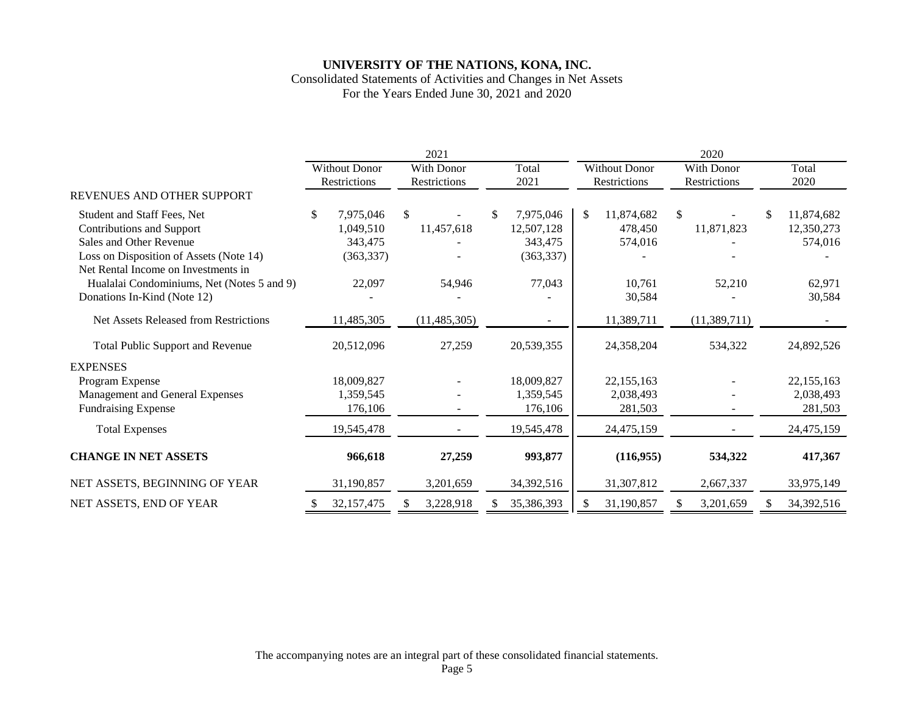## Consolidated Statements of Activities and Changes in Net Assets

For the Years Ended June 30, 2021 and 2020

|                                            |                      | 2021           |                 | 2020                        |              |            |  |  |
|--------------------------------------------|----------------------|----------------|-----------------|-----------------------------|--------------|------------|--|--|
|                                            | <b>Without Donor</b> | With Donor     | Total           | <b>Without Donor</b>        | With Donor   | Total      |  |  |
|                                            | Restrictions         | Restrictions   | 2021            | Restrictions                | Restrictions | 2020       |  |  |
| REVENUES AND OTHER SUPPORT                 |                      |                |                 |                             |              |            |  |  |
| Student and Staff Fees, Net                | \$<br>7,975,046      | \$             | 7,975,046<br>S. | $\mathcal{S}$<br>11,874,682 | \$           | 11,874,682 |  |  |
| <b>Contributions and Support</b>           | 1,049,510            | 11,457,618     | 12,507,128      | 478,450                     | 11,871,823   | 12,350,273 |  |  |
| Sales and Other Revenue                    | 343,475              |                | 343,475         | 574,016                     |              | 574,016    |  |  |
| Loss on Disposition of Assets (Note 14)    | (363, 337)           |                | (363, 337)      |                             |              |            |  |  |
| Net Rental Income on Investments in        |                      |                |                 |                             |              |            |  |  |
| Hualalai Condominiums, Net (Notes 5 and 9) | 22,097               | 54,946         | 77,043          | 10,761                      | 52,210       | 62,971     |  |  |
| Donations In-Kind (Note 12)                |                      |                |                 | 30,584                      |              | 30,584     |  |  |
| Net Assets Released from Restrictions      | 11,485,305           | (11, 485, 305) | ۰               | 11,389,711                  | (11,389,711) |            |  |  |
| <b>Total Public Support and Revenue</b>    | 20,512,096           | 27,259         | 20,539,355      | 24,358,204                  | 534,322      | 24,892,526 |  |  |
| <b>EXPENSES</b>                            |                      |                |                 |                             |              |            |  |  |
| Program Expense                            | 18,009,827           |                | 18,009,827      | 22,155,163                  |              | 22,155,163 |  |  |
| Management and General Expenses            | 1,359,545            |                | 1,359,545       | 2,038,493                   |              | 2,038,493  |  |  |
| <b>Fundraising Expense</b>                 | 176,106              |                | 176,106         | 281,503                     |              | 281,503    |  |  |
| <b>Total Expenses</b>                      | 19,545,478           |                | 19,545,478      | 24,475,159                  |              | 24,475,159 |  |  |
| <b>CHANGE IN NET ASSETS</b>                | 966,618              | 27,259         | 993,877         | (116, 955)                  | 534,322      | 417,367    |  |  |
| NET ASSETS, BEGINNING OF YEAR              | 31,190,857           | 3,201,659      | 34,392,516      | 31,307,812                  | 2,667,337    | 33,975,149 |  |  |
| NET ASSETS, END OF YEAR                    | 32, 157, 475         | 3,228,918      | 35,386,393      | 31,190,857<br>\$.           | 3,201,659    | 34,392,516 |  |  |

The accompanying notes are an integral part of these consolidated financial statements.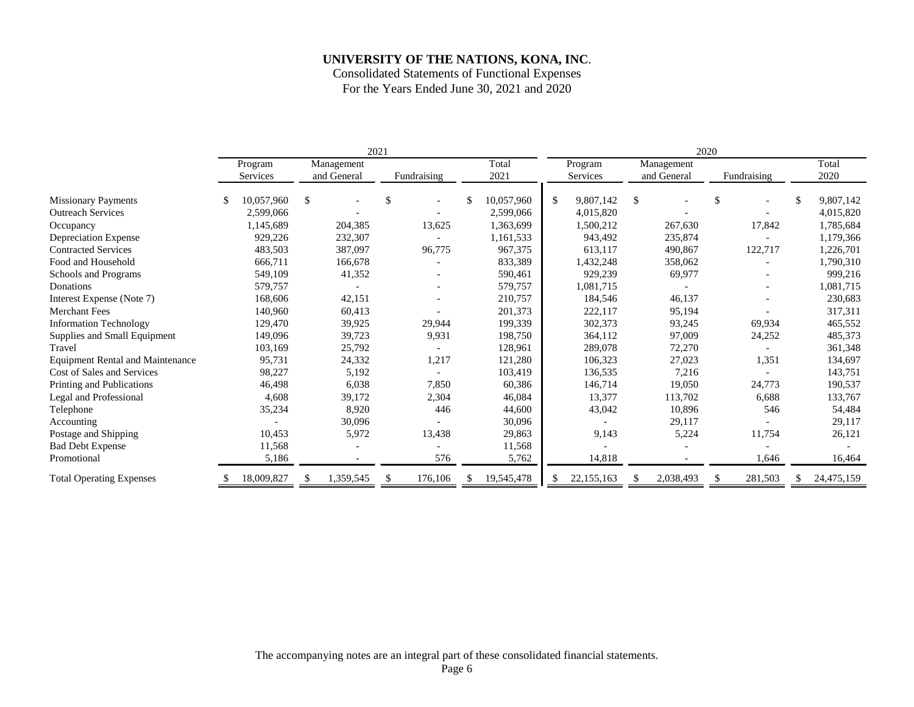Consolidated Statements of Functional Expenses For the Years Ended June 30, 2021 and 2020

|                                         | 2021 |            |               |            |               | 2020    |         |            |            |            |               |                          |             |         |     |            |
|-----------------------------------------|------|------------|---------------|------------|---------------|---------|---------|------------|------------|------------|---------------|--------------------------|-------------|---------|-----|------------|
|                                         |      | Program    |               | Management | Total         |         | Program |            | Management |            |               |                          |             | Total   |     |            |
|                                         |      | Services   | and General   |            | Fundraising   |         |         | 2021       |            | Services   |               | and General              | Fundraising |         |     | 2020       |
| <b>Missionary Payments</b>              |      | 10,057,960 | <sup>\$</sup> |            | <sup>\$</sup> |         | \$      | 10,057,960 | \$         | 9,807,142  | <sup>\$</sup> | $\overline{\phantom{a}}$ | \$          |         | \$. | 9,807,142  |
| <b>Outreach Services</b>                |      | 2,599,066  |               |            |               |         |         | 2,599,066  |            | 4,015,820  |               |                          |             |         |     | 4,015,820  |
| Occupancy                               |      | 1,145,689  |               | 204,385    |               | 13,625  |         | 1,363,699  |            | 1,500,212  |               | 267,630                  |             | 17,842  |     | 1,785,684  |
| Depreciation Expense                    |      | 929,226    |               | 232,307    |               |         |         | 1,161,533  |            | 943,492    |               | 235,874                  |             |         |     | 1,179,366  |
| <b>Contracted Services</b>              |      | 483,503    |               | 387,097    |               | 96,775  |         | 967,375    |            | 613,117    |               | 490,867                  |             | 122,717 |     | 1,226,701  |
| Food and Household                      |      | 666,711    |               | 166,678    |               |         |         | 833,389    |            | 1,432,248  |               | 358,062                  |             |         |     | 1,790,310  |
| Schools and Programs                    |      | 549,109    |               | 41,352     |               |         |         | 590,461    |            | 929,239    |               | 69,977                   |             |         |     | 999,216    |
| Donations                               |      | 579,757    |               |            |               |         |         | 579,757    |            | 1,081,715  |               |                          |             |         |     | 1,081,715  |
| Interest Expense (Note 7)               |      | 168,606    |               | 42,151     |               |         |         | 210,757    |            | 184,546    |               | 46,137                   |             |         |     | 230,683    |
| <b>Merchant Fees</b>                    |      | 140,960    |               | 60,413     |               |         |         | 201,373    |            | 222,117    |               | 95,194                   |             |         |     | 317,311    |
| <b>Information Technology</b>           |      | 129,470    |               | 39,925     |               | 29,944  |         | 199,339    |            | 302,373    |               | 93,245                   |             | 69,934  |     | 465,552    |
| Supplies and Small Equipment            |      | 149,096    |               | 39,723     |               | 9,931   |         | 198,750    |            | 364,112    |               | 97,009                   |             | 24,252  |     | 485,373    |
| Travel                                  |      | 103,169    |               | 25,792     |               |         |         | 128,961    |            | 289,078    |               | 72,270                   |             |         |     | 361,348    |
| <b>Equipment Rental and Maintenance</b> |      | 95,731     |               | 24,332     |               | 1,217   |         | 121,280    |            | 106,323    |               | 27,023                   |             | 1,351   |     | 134,697    |
| Cost of Sales and Services              |      | 98,227     |               | 5,192      |               |         |         | 103,419    |            | 136,535    |               | 7,216                    |             |         |     | 143,751    |
| Printing and Publications               |      | 46,498     |               | 6,038      |               | 7,850   |         | 60,386     |            | 146,714    |               | 19,050                   |             | 24,773  |     | 190,537    |
| Legal and Professional                  |      | 4,608      |               | 39,172     |               | 2,304   |         | 46,084     |            | 13,377     |               | 113,702                  |             | 6,688   |     | 133,767    |
| Telephone                               |      | 35,234     |               | 8,920      |               | 446     |         | 44,600     |            | 43,042     |               | 10,896                   |             | 546     |     | 54,484     |
| Accounting                              |      |            |               | 30,096     |               |         |         | 30,096     |            |            |               | 29,117                   |             |         |     | 29,117     |
| Postage and Shipping                    |      | 10,453     |               | 5,972      |               | 13,438  |         | 29,863     |            | 9,143      |               | 5,224                    |             | 11,754  |     | 26,121     |
| <b>Bad Debt Expense</b>                 |      | 11,568     |               |            |               |         |         | 11,568     |            |            |               |                          |             |         |     |            |
| Promotional                             |      | 5,186      |               |            |               | 576     |         | 5,762      |            | 14,818     |               |                          |             | 1,646   |     | 16,464     |
| <b>Total Operating Expenses</b>         |      | 18,009,827 |               | 1,359,545  | <b>S</b>      | 176,106 | -S      | 19,545,478 |            | 22,155,163 |               | 2,038,493                | S           | 281,503 | -S  | 24,475,159 |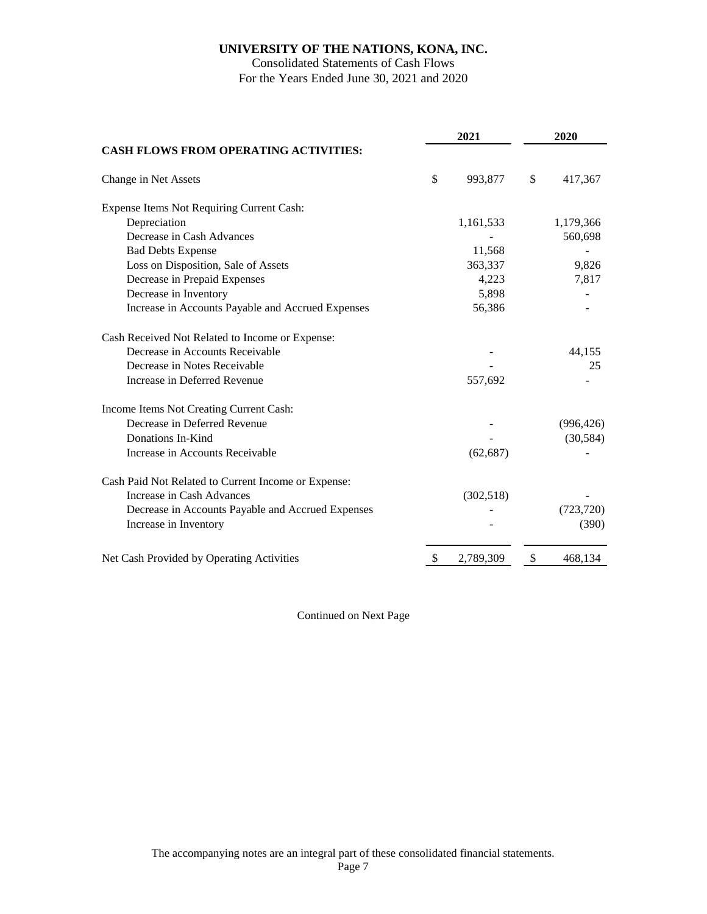Consolidated Statements of Cash Flows For the Years Ended June 30, 2021 and 2020

|                                                     |              | 2021       | 2020 |            |  |
|-----------------------------------------------------|--------------|------------|------|------------|--|
| <b>CASH FLOWS FROM OPERATING ACTIVITIES:</b>        |              |            |      |            |  |
| Change in Net Assets                                | $\mathbb{S}$ | 993,877    | \$   | 417,367    |  |
| Expense Items Not Requiring Current Cash:           |              |            |      |            |  |
| Depreciation                                        |              | 1,161,533  |      | 1,179,366  |  |
| Decrease in Cash Advances                           |              |            |      | 560,698    |  |
| <b>Bad Debts Expense</b>                            |              | 11,568     |      |            |  |
| Loss on Disposition, Sale of Assets                 |              | 363,337    |      | 9,826      |  |
| Decrease in Prepaid Expenses                        |              | 4,223      |      | 7,817      |  |
| Decrease in Inventory                               |              | 5,898      |      |            |  |
| Increase in Accounts Payable and Accrued Expenses   |              | 56,386     |      |            |  |
| Cash Received Not Related to Income or Expense:     |              |            |      |            |  |
| Decrease in Accounts Receivable                     |              |            |      | 44,155     |  |
| Decrease in Notes Receivable                        |              |            |      | 25         |  |
| Increase in Deferred Revenue                        |              | 557,692    |      |            |  |
| Income Items Not Creating Current Cash:             |              |            |      |            |  |
| Decrease in Deferred Revenue                        |              |            |      | (996, 426) |  |
| Donations In-Kind                                   |              |            |      | (30, 584)  |  |
| Increase in Accounts Receivable                     |              | (62, 687)  |      |            |  |
| Cash Paid Not Related to Current Income or Expense: |              |            |      |            |  |
| Increase in Cash Advances                           |              | (302, 518) |      |            |  |
| Decrease in Accounts Payable and Accrued Expenses   |              |            |      | (723, 720) |  |
| Increase in Inventory                               |              |            |      | (390)      |  |
| Net Cash Provided by Operating Activities           | \$           | 2,789,309  | \$   | 468,134    |  |

Continued on Next Page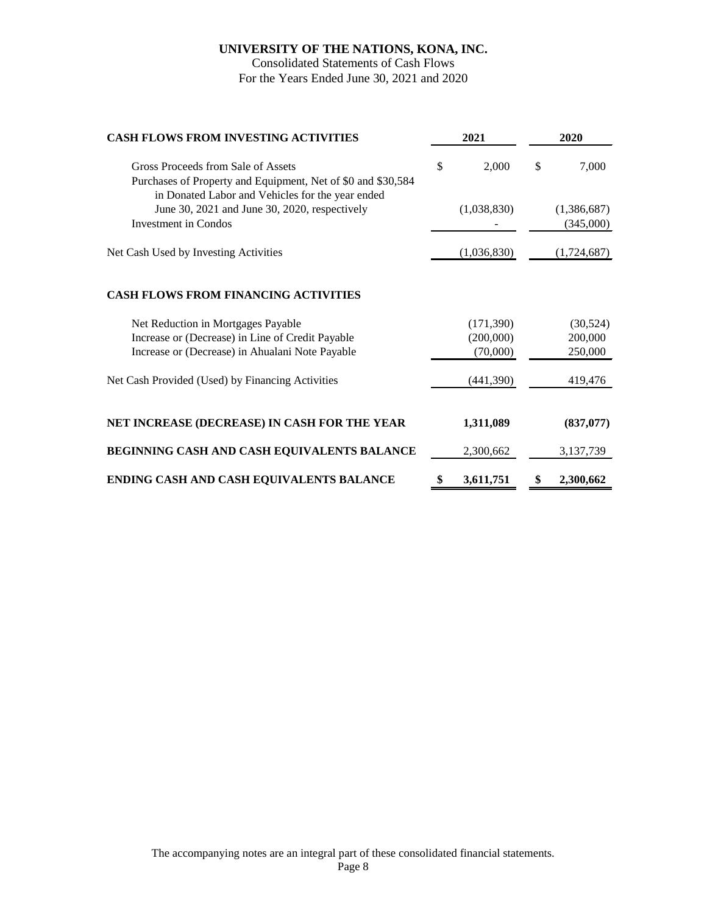Consolidated Statements of Cash Flows For the Years Ended June 30, 2021 and 2020

| <b>CASH FLOWS FROM INVESTING ACTIVITIES</b>                                                                                                            | 2021            | 2020 |                          |  |  |
|--------------------------------------------------------------------------------------------------------------------------------------------------------|-----------------|------|--------------------------|--|--|
| Gross Proceeds from Sale of Assets<br>Purchases of Property and Equipment, Net of \$0 and \$30,584<br>in Donated Labor and Vehicles for the year ended | \$<br>2,000     | \$   | 7,000                    |  |  |
| June 30, 2021 and June 30, 2020, respectively<br><b>Investment</b> in Condos                                                                           | (1,038,830)     |      | (1,386,687)<br>(345,000) |  |  |
| Net Cash Used by Investing Activities                                                                                                                  | (1,036,830)     |      | (1,724,687)              |  |  |
| <b>CASH FLOWS FROM FINANCING ACTIVITIES</b>                                                                                                            |                 |      |                          |  |  |
| Net Reduction in Mortgages Payable                                                                                                                     | (171, 390)      |      | (30, 524)                |  |  |
| Increase or (Decrease) in Line of Credit Payable                                                                                                       | (200,000)       |      | 200,000                  |  |  |
| Increase or (Decrease) in Ahualani Note Payable                                                                                                        | (70,000)        |      | 250,000                  |  |  |
| Net Cash Provided (Used) by Financing Activities                                                                                                       | (441,390)       |      | 419,476                  |  |  |
| NET INCREASE (DECREASE) IN CASH FOR THE YEAR                                                                                                           | 1,311,089       |      | (837, 077)               |  |  |
| BEGINNING CASH AND CASH EQUIVALENTS BALANCE                                                                                                            | 2,300,662       |      | 3,137,739                |  |  |
| ENDING CASH AND CASH EQUIVALENTS BALANCE                                                                                                               | \$<br>3,611,751 | \$   | 2,300,662                |  |  |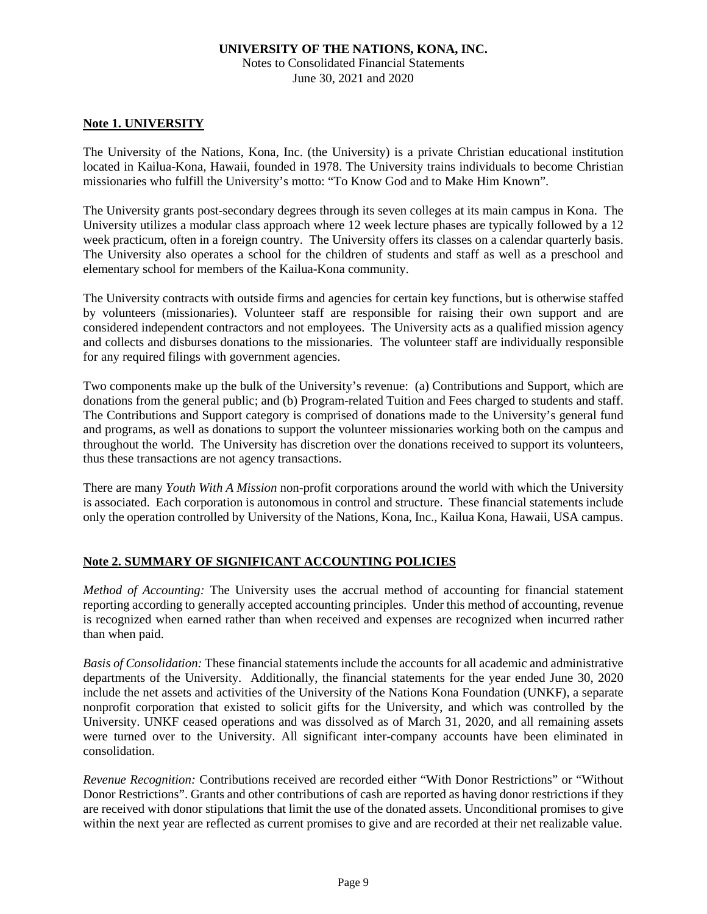Notes to Consolidated Financial Statements June 30, 2021 and 2020

## **Note 1. UNIVERSITY**

The University of the Nations, Kona, Inc. (the University) is a private Christian educational institution located in Kailua-Kona, Hawaii, founded in 1978. The University trains individuals to become Christian missionaries who fulfill the University's motto: "To Know God and to Make Him Known".

The University grants post-secondary degrees through its seven colleges at its main campus in Kona. The University utilizes a modular class approach where 12 week lecture phases are typically followed by a 12 week practicum, often in a foreign country. The University offers its classes on a calendar quarterly basis. The University also operates a school for the children of students and staff as well as a preschool and elementary school for members of the Kailua-Kona community.

The University contracts with outside firms and agencies for certain key functions, but is otherwise staffed by volunteers (missionaries). Volunteer staff are responsible for raising their own support and are considered independent contractors and not employees. The University acts as a qualified mission agency and collects and disburses donations to the missionaries. The volunteer staff are individually responsible for any required filings with government agencies.

Two components make up the bulk of the University's revenue: (a) Contributions and Support, which are donations from the general public; and (b) Program-related Tuition and Fees charged to students and staff. The Contributions and Support category is comprised of donations made to the University's general fund and programs, as well as donations to support the volunteer missionaries working both on the campus and throughout the world. The University has discretion over the donations received to support its volunteers, thus these transactions are not agency transactions.

There are many *Youth With A Mission* non-profit corporations around the world with which the University is associated. Each corporation is autonomous in control and structure. These financial statements include only the operation controlled by University of the Nations, Kona, Inc., Kailua Kona, Hawaii, USA campus.

## **Note 2. SUMMARY OF SIGNIFICANT ACCOUNTING POLICIES**

*Method of Accounting:* The University uses the accrual method of accounting for financial statement reporting according to generally accepted accounting principles. Under this method of accounting, revenue is recognized when earned rather than when received and expenses are recognized when incurred rather than when paid.

*Basis of Consolidation:* These financial statements include the accounts for all academic and administrative departments of the University. Additionally, the financial statements for the year ended June 30, 2020 include the net assets and activities of the University of the Nations Kona Foundation (UNKF), a separate nonprofit corporation that existed to solicit gifts for the University, and which was controlled by the University. UNKF ceased operations and was dissolved as of March 31, 2020, and all remaining assets were turned over to the University. All significant inter-company accounts have been eliminated in consolidation.

*Revenue Recognition:* Contributions received are recorded either "With Donor Restrictions" or "Without Donor Restrictions". Grants and other contributions of cash are reported as having donor restrictions if they are received with donor stipulations that limit the use of the donated assets. Unconditional promises to give within the next year are reflected as current promises to give and are recorded at their net realizable value.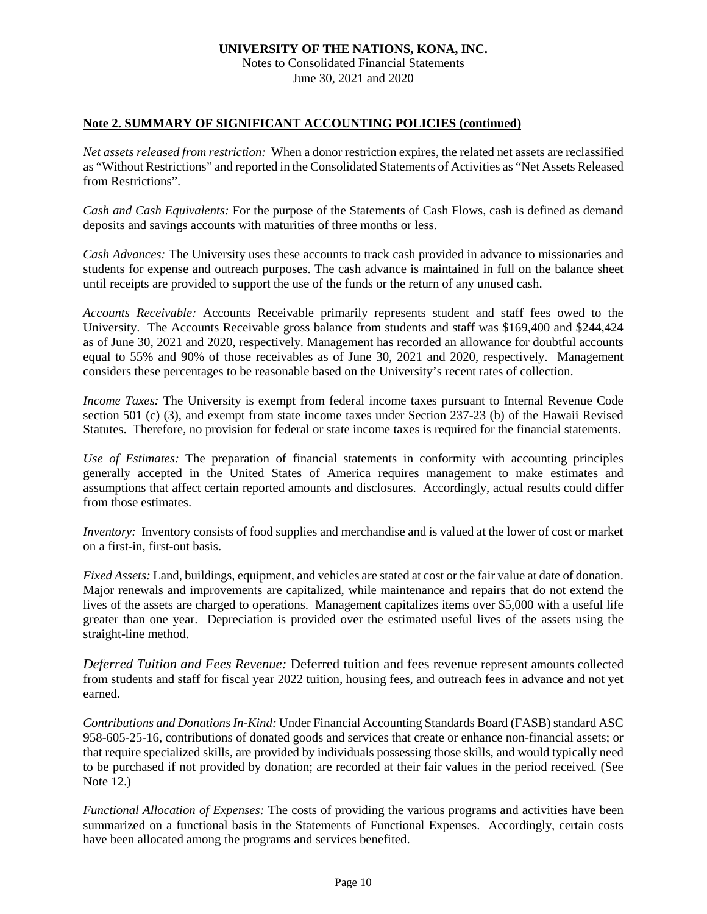Notes to Consolidated Financial Statements June 30, 2021 and 2020

## **Note 2. SUMMARY OF SIGNIFICANT ACCOUNTING POLICIES (continued)**

*Net assets released from restriction:* When a donor restriction expires, the related net assets are reclassified as "Without Restrictions" and reported in the Consolidated Statements of Activities as "Net Assets Released from Restrictions".

*Cash and Cash Equivalents:* For the purpose of the Statements of Cash Flows, cash is defined as demand deposits and savings accounts with maturities of three months or less.

*Cash Advances:* The University uses these accounts to track cash provided in advance to missionaries and students for expense and outreach purposes. The cash advance is maintained in full on the balance sheet until receipts are provided to support the use of the funds or the return of any unused cash.

*Accounts Receivable:* Accounts Receivable primarily represents student and staff fees owed to the University. The Accounts Receivable gross balance from students and staff was \$169,400 and \$244,424 as of June 30, 2021 and 2020, respectively. Management has recorded an allowance for doubtful accounts equal to 55% and 90% of those receivables as of June 30, 2021 and 2020, respectively. Management considers these percentages to be reasonable based on the University's recent rates of collection.

*Income Taxes:* The University is exempt from federal income taxes pursuant to Internal Revenue Code section 501 (c) (3), and exempt from state income taxes under Section 237-23 (b) of the Hawaii Revised Statutes. Therefore, no provision for federal or state income taxes is required for the financial statements.

*Use of Estimates:* The preparation of financial statements in conformity with accounting principles generally accepted in the United States of America requires management to make estimates and assumptions that affect certain reported amounts and disclosures. Accordingly, actual results could differ from those estimates.

*Inventory:* Inventory consists of food supplies and merchandise and is valued at the lower of cost or market on a first-in, first-out basis.

*Fixed Assets:* Land, buildings, equipment, and vehicles are stated at cost or the fair value at date of donation. Major renewals and improvements are capitalized, while maintenance and repairs that do not extend the lives of the assets are charged to operations. Management capitalizes items over \$5,000 with a useful life greater than one year. Depreciation is provided over the estimated useful lives of the assets using the straight-line method.

*Deferred Tuition and Fees Revenue:* Deferred tuition and fees revenue represent amounts collected from students and staff for fiscal year 2022 tuition, housing fees, and outreach fees in advance and not yet earned.

*Contributions and Donations In-Kind:* Under Financial Accounting Standards Board (FASB) standard ASC 958-605-25-16, contributions of donated goods and services that create or enhance non-financial assets; or that require specialized skills, are provided by individuals possessing those skills, and would typically need to be purchased if not provided by donation; are recorded at their fair values in the period received*.* (See Note 12.)

*Functional Allocation of Expenses:* The costs of providing the various programs and activities have been summarized on a functional basis in the Statements of Functional Expenses. Accordingly, certain costs have been allocated among the programs and services benefited.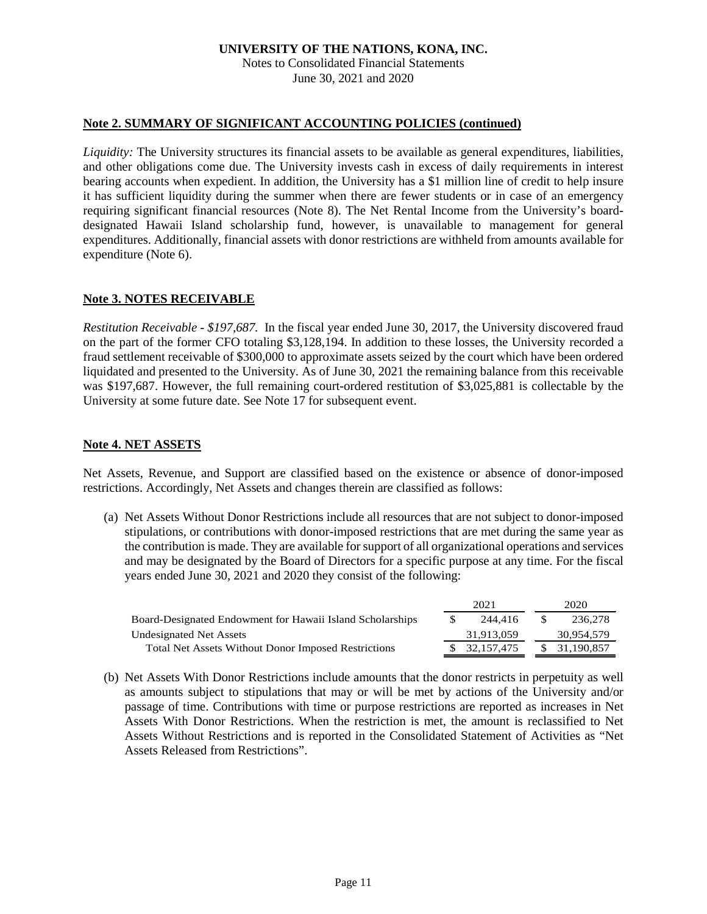Notes to Consolidated Financial Statements June 30, 2021 and 2020

## **Note 2. SUMMARY OF SIGNIFICANT ACCOUNTING POLICIES (continued)**

*Liquidity:* The University structures its financial assets to be available as general expenditures, liabilities, and other obligations come due. The University invests cash in excess of daily requirements in interest bearing accounts when expedient. In addition, the University has a \$1 million line of credit to help insure it has sufficient liquidity during the summer when there are fewer students or in case of an emergency requiring significant financial resources (Note 8). The Net Rental Income from the University's boarddesignated Hawaii Island scholarship fund, however, is unavailable to management for general expenditures. Additionally, financial assets with donor restrictions are withheld from amounts available for expenditure (Note 6).

## **Note 3. NOTES RECEIVABLE**

*Restitution Receivable - \$197,687.* In the fiscal year ended June 30, 2017, the University discovered fraud on the part of the former CFO totaling \$3,128,194. In addition to these losses, the University recorded a fraud settlement receivable of \$300,000 to approximate assets seized by the court which have been ordered liquidated and presented to the University. As of June 30, 2021 the remaining balance from this receivable was \$197,687. However, the full remaining court-ordered restitution of \$3,025,881 is collectable by the University at some future date. See Note 17 for subsequent event.

## **Note 4. NET ASSETS**

Net Assets, Revenue, and Support are classified based on the existence or absence of donor-imposed restrictions. Accordingly, Net Assets and changes therein are classified as follows:

(a) Net Assets Without Donor Restrictions include all resources that are not subject to donor-imposed stipulations, or contributions with donor-imposed restrictions that are met during the same year as the contribution is made. They are available for support of all organizational operations and services and may be designated by the Board of Directors for a specific purpose at any time. For the fiscal years ended June 30, 2021 and 2020 they consist of the following:

|                                                            | 2021          |     | 2020          |
|------------------------------------------------------------|---------------|-----|---------------|
| Board-Designated Endowment for Hawaii Island Scholarships  | 244.416       | -SS | 236,278       |
| Undesignated Net Assets                                    | 31.913.059    |     | 30.954.579    |
| <b>Total Net Assets Without Donor Imposed Restrictions</b> | \$ 32,157,475 |     | \$ 31,190,857 |

(b) Net Assets With Donor Restrictions include amounts that the donor restricts in perpetuity as well as amounts subject to stipulations that may or will be met by actions of the University and/or passage of time. Contributions with time or purpose restrictions are reported as increases in Net Assets With Donor Restrictions. When the restriction is met, the amount is reclassified to Net Assets Without Restrictions and is reported in the Consolidated Statement of Activities as "Net Assets Released from Restrictions".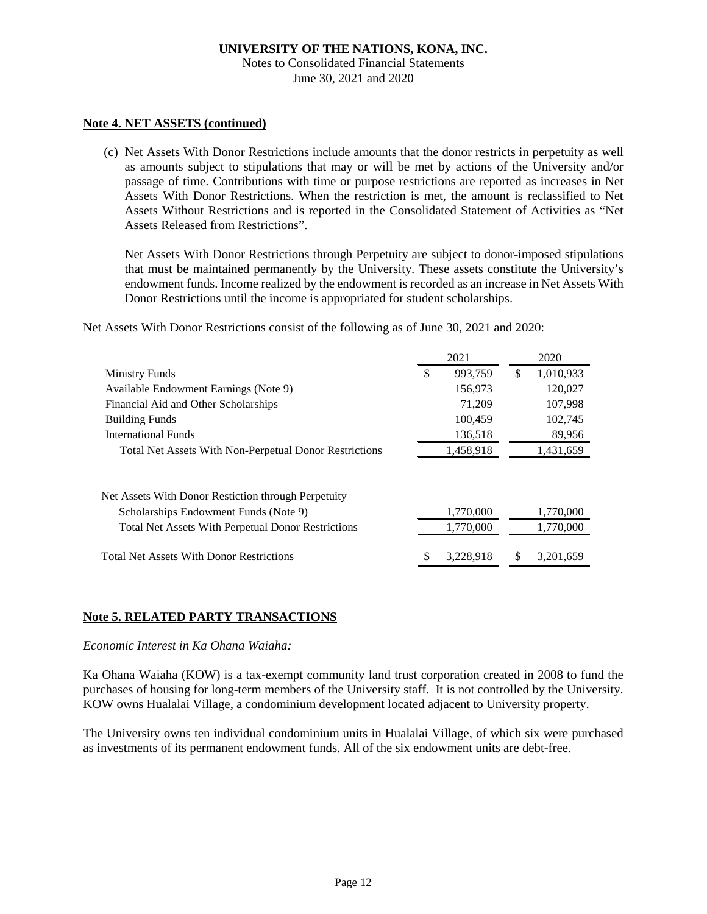Notes to Consolidated Financial Statements June 30, 2021 and 2020

#### **Note 4. NET ASSETS (continued)**

(c) Net Assets With Donor Restrictions include amounts that the donor restricts in perpetuity as well as amounts subject to stipulations that may or will be met by actions of the University and/or passage of time. Contributions with time or purpose restrictions are reported as increases in Net Assets With Donor Restrictions. When the restriction is met, the amount is reclassified to Net Assets Without Restrictions and is reported in the Consolidated Statement of Activities as "Net Assets Released from Restrictions".

Net Assets With Donor Restrictions through Perpetuity are subject to donor-imposed stipulations that must be maintained permanently by the University. These assets constitute the University's endowment funds. Income realized by the endowment is recorded as an increase in Net Assets With Donor Restrictions until the income is appropriated for student scholarships.

Net Assets With Donor Restrictions consist of the following as of June 30, 2021 and 2020:

|                                                           |   | 2021      | 2020            |
|-----------------------------------------------------------|---|-----------|-----------------|
| <b>Ministry Funds</b>                                     | S | 993.759   | \$<br>1,010,933 |
| Available Endowment Earnings (Note 9)                     |   | 156,973   | 120,027         |
| Financial Aid and Other Scholarships                      |   | 71,209    | 107,998         |
| <b>Building Funds</b>                                     |   | 100,459   | 102,745         |
| International Funds                                       |   | 136,518   | 89,956          |
| Total Net Assets With Non-Perpetual Donor Restrictions    |   | 1,458,918 | 1,431,659       |
|                                                           |   |           |                 |
| Net Assets With Donor Restiction through Perpetuity       |   |           |                 |
| Scholarships Endowment Funds (Note 9)                     |   | 1,770,000 | 1,770,000       |
| <b>Total Net Assets With Perpetual Donor Restrictions</b> |   | 1,770,000 | 1,770,000       |
| <b>Total Net Assets With Donor Restrictions</b>           | J | 3,228,918 | 3,201,659       |

## **Note 5. RELATED PARTY TRANSACTIONS**

#### *Economic Interest in Ka Ohana Waiaha:*

Ka Ohana Waiaha (KOW) is a tax-exempt community land trust corporation created in 2008 to fund the purchases of housing for long-term members of the University staff. It is not controlled by the University. KOW owns Hualalai Village, a condominium development located adjacent to University property.

The University owns ten individual condominium units in Hualalai Village, of which six were purchased as investments of its permanent endowment funds. All of the six endowment units are debt-free.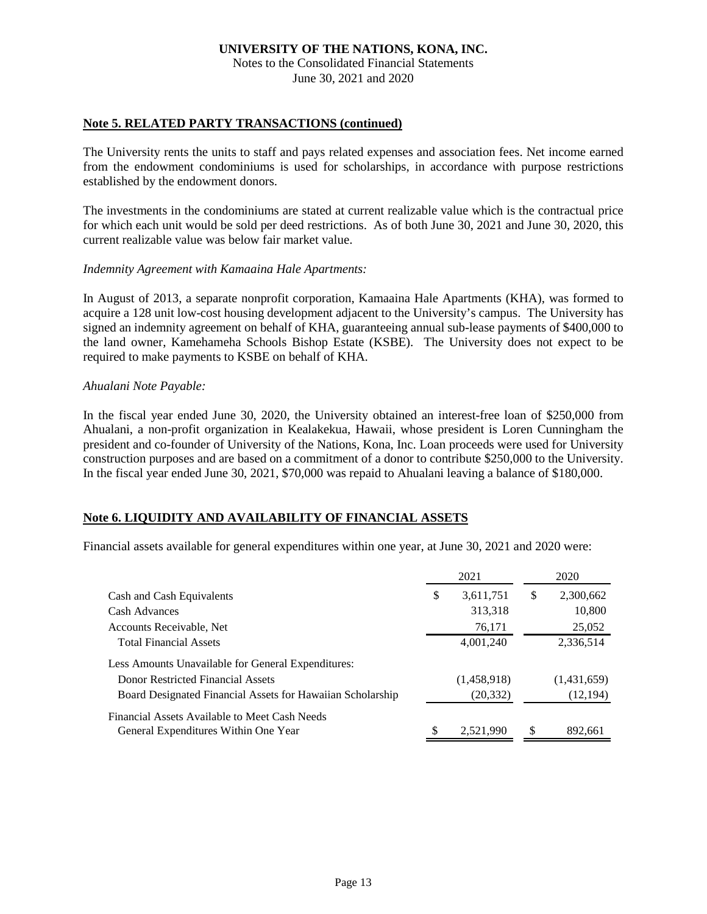Notes to the Consolidated Financial Statements June 30, 2021 and 2020

## **Note 5. RELATED PARTY TRANSACTIONS (continued)**

The University rents the units to staff and pays related expenses and association fees. Net income earned from the endowment condominiums is used for scholarships, in accordance with purpose restrictions established by the endowment donors.

The investments in the condominiums are stated at current realizable value which is the contractual price for which each unit would be sold per deed restrictions. As of both June 30, 2021 and June 30, 2020, this current realizable value was below fair market value.

#### *Indemnity Agreement with Kamaaina Hale Apartments:*

In August of 2013, a separate nonprofit corporation, Kamaaina Hale Apartments (KHA), was formed to acquire a 128 unit low-cost housing development adjacent to the University's campus. The University has signed an indemnity agreement on behalf of KHA, guaranteeing annual sub-lease payments of \$400,000 to the land owner, Kamehameha Schools Bishop Estate (KSBE). The University does not expect to be required to make payments to KSBE on behalf of KHA.

#### *Ahualani Note Payable:*

In the fiscal year ended June 30, 2020, the University obtained an interest-free loan of \$250,000 from Ahualani, a non-profit organization in Kealakekua, Hawaii, whose president is Loren Cunningham the president and co-founder of University of the Nations, Kona, Inc. Loan proceeds were used for University construction purposes and are based on a commitment of a donor to contribute \$250,000 to the University. In the fiscal year ended June 30, 2021, \$70,000 was repaid to Ahualani leaving a balance of \$180,000.

## **Note 6. LIQUIDITY AND AVAILABILITY OF FINANCIAL ASSETS**

Financial assets available for general expenditures within one year, at June 30, 2021 and 2020 were:

|                                                            | 2021            | 2020 |             |  |
|------------------------------------------------------------|-----------------|------|-------------|--|
| Cash and Cash Equivalents                                  | \$<br>3,611,751 | \$   | 2,300,662   |  |
| <b>Cash Advances</b>                                       | 313,318         |      | 10,800      |  |
| Accounts Receivable, Net                                   | 76,171          |      | 25,052      |  |
| <b>Total Financial Assets</b>                              | 4,001,240       |      | 2,336,514   |  |
| Less Amounts Unavailable for General Expenditures:         |                 |      |             |  |
| <b>Donor Restricted Financial Assets</b>                   | (1,458,918)     |      | (1,431,659) |  |
| Board Designated Financial Assets for Hawaiian Scholarship | (20, 332)       |      | (12, 194)   |  |
| Financial Assets Available to Meet Cash Needs              |                 |      |             |  |
| General Expenditures Within One Year                       | \$<br>2,521,990 | \$   | 892,661     |  |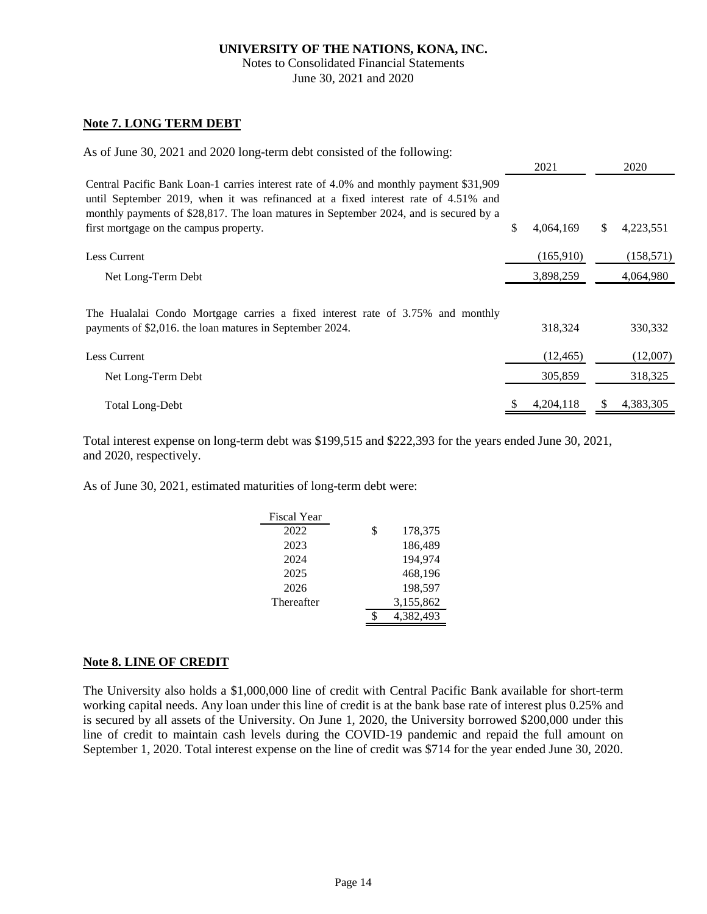Notes to Consolidated Financial Statements

June 30, 2021 and 2020

## **Note 7. LONG TERM DEBT**

| As of June 30, 2021 and 2020 long-term debt consisted of the following:                                                                                                                                                                                                                                         |                 |            |
|-----------------------------------------------------------------------------------------------------------------------------------------------------------------------------------------------------------------------------------------------------------------------------------------------------------------|-----------------|------------|
|                                                                                                                                                                                                                                                                                                                 | 2021            | 2020       |
| Central Pacific Bank Loan-1 carries interest rate of 4.0% and monthly payment \$31,909<br>until September 2019, when it was refinanced at a fixed interest rate of 4.51% and<br>monthly payments of \$28,817. The loan matures in September 2024, and is secured by a<br>first mortgage on the campus property. | \$<br>4,064,169 | 4,223,551  |
| <b>Less Current</b>                                                                                                                                                                                                                                                                                             | (165,910)       | (158, 571) |
| Net Long-Term Debt                                                                                                                                                                                                                                                                                              | 3,898,259       | 4,064,980  |
| The Hualalai Condo Mortgage carries a fixed interest rate of 3.75% and monthly                                                                                                                                                                                                                                  |                 |            |
| payments of \$2,016. the loan matures in September 2024.                                                                                                                                                                                                                                                        | 318,324         | 330,332    |
| Less Current                                                                                                                                                                                                                                                                                                    | (12, 465)       | (12,007)   |
| Net Long-Term Debt                                                                                                                                                                                                                                                                                              | 305,859         | 318,325    |
| <b>Total Long-Debt</b>                                                                                                                                                                                                                                                                                          | 4,204,118       | 4,383,305  |

Total interest expense on long-term debt was \$199,515 and \$222,393 for the years ended June 30, 2021, and 2020, respectively.

As of June 30, 2021, estimated maturities of long-term debt were:

| Fiscal Year |               |  |
|-------------|---------------|--|
| 2022        | \$<br>178,375 |  |
| 2023        | 186,489       |  |
| 2024        | 194,974       |  |
| 2025        | 468,196       |  |
| 2026        | 198,597       |  |
| Thereafter  | 3,155,862     |  |
|             | 4.382.493     |  |

## **Note 8. LINE OF CREDIT**

The University also holds a \$1,000,000 line of credit with Central Pacific Bank available for short-term working capital needs. Any loan under this line of credit is at the bank base rate of interest plus 0.25% and is secured by all assets of the University. On June 1, 2020, the University borrowed \$200,000 under this line of credit to maintain cash levels during the COVID-19 pandemic and repaid the full amount on September 1, 2020. Total interest expense on the line of credit was \$714 for the year ended June 30, 2020.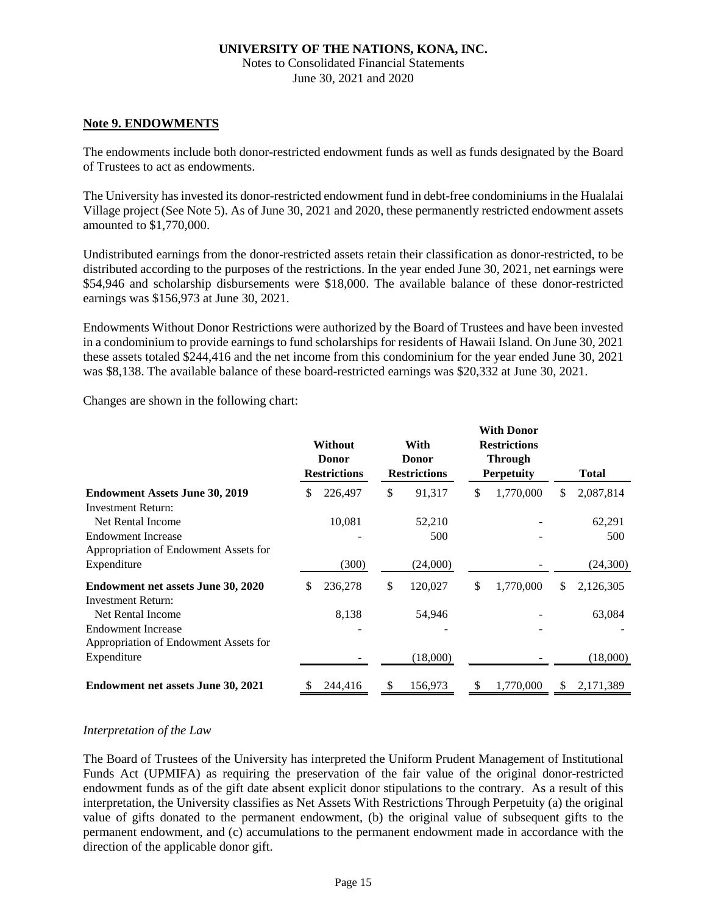Notes to Consolidated Financial Statements June 30, 2021 and 2020

## **Note 9. ENDOWMENTS**

The endowments include both donor-restricted endowment funds as well as funds designated by the Board of Trustees to act as endowments.

The University has invested its donor-restricted endowment fund in debt-free condominiums in the Hualalai Village project (See Note 5). As of June 30, 2021 and 2020, these permanently restricted endowment assets amounted to \$1,770,000.

Undistributed earnings from the donor-restricted assets retain their classification as donor-restricted, to be distributed according to the purposes of the restrictions. In the year ended June 30, 2021, net earnings were \$54,946 and scholarship disbursements were \$18,000. The available balance of these donor-restricted earnings was \$156,973 at June 30, 2021.

Endowments Without Donor Restrictions were authorized by the Board of Trustees and have been invested in a condominium to provide earnings to fund scholarships for residents of Hawaii Island. On June 30, 2021 these assets totaled \$244,416 and the net income from this condominium for the year ended June 30, 2021 was \$8,138. The available balance of these board-restricted earnings was \$20,332 at June 30, 2021.

Changes are shown in the following chart:

|                                       |    | Without<br><b>Donor</b><br><b>Restrictions</b> |    | With<br><b>Donor</b><br><b>Restrictions</b> |    | <b>With Donor</b><br><b>Restrictions</b><br><b>Through</b><br><b>Perpetuity</b> |   | <b>Total</b> |  |
|---------------------------------------|----|------------------------------------------------|----|---------------------------------------------|----|---------------------------------------------------------------------------------|---|--------------|--|
| <b>Endowment Assets June 30, 2019</b> | S  | 226,497                                        | \$ | 91,317                                      | \$ | 1,770,000                                                                       | S | 2,087,814    |  |
| <b>Investment Return:</b>             |    |                                                |    |                                             |    |                                                                                 |   |              |  |
| Net Rental Income                     |    | 10,081                                         |    | 52,210                                      |    |                                                                                 |   | 62,291       |  |
| <b>Endowment Increase</b>             |    |                                                |    | 500                                         |    |                                                                                 |   | 500          |  |
| Appropriation of Endowment Assets for |    |                                                |    |                                             |    |                                                                                 |   |              |  |
| Expenditure                           |    | (300)                                          |    | (24,000)                                    |    |                                                                                 |   | (24,300)     |  |
| Endowment net assets June 30, 2020    | \$ | 236,278                                        | \$ | 120,027                                     | \$ | 1,770,000                                                                       | S | 2,126,305    |  |
| <b>Investment Return:</b>             |    |                                                |    |                                             |    |                                                                                 |   |              |  |
| Net Rental Income                     |    | 8,138                                          |    | 54,946                                      |    |                                                                                 |   | 63,084       |  |
| <b>Endowment Increase</b>             |    |                                                |    |                                             |    |                                                                                 |   |              |  |
| Appropriation of Endowment Assets for |    |                                                |    |                                             |    |                                                                                 |   |              |  |
| Expenditure                           |    |                                                |    | (18,000)                                    |    |                                                                                 |   | (18,000)     |  |
| Endowment net assets June 30, 2021    |    | 244,416                                        | S  | 156,973                                     |    | 1,770,000                                                                       | S | 2,171,389    |  |

## *Interpretation of the Law*

The Board of Trustees of the University has interpreted the Uniform Prudent Management of Institutional Funds Act (UPMIFA) as requiring the preservation of the fair value of the original donor-restricted endowment funds as of the gift date absent explicit donor stipulations to the contrary. As a result of this interpretation, the University classifies as Net Assets With Restrictions Through Perpetuity (a) the original value of gifts donated to the permanent endowment, (b) the original value of subsequent gifts to the permanent endowment, and (c) accumulations to the permanent endowment made in accordance with the direction of the applicable donor gift.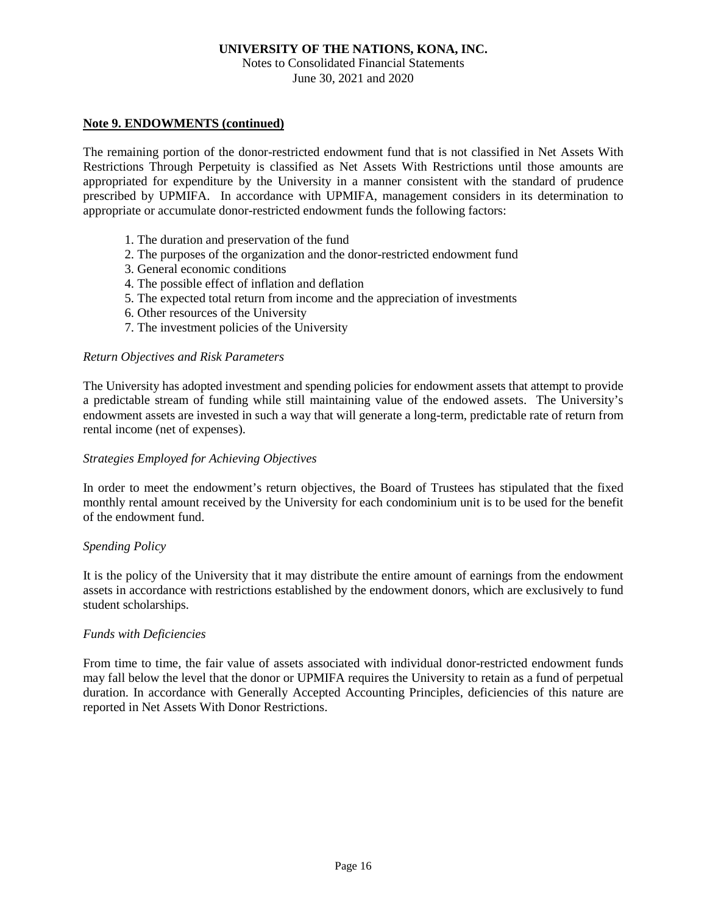Notes to Consolidated Financial Statements June 30, 2021 and 2020

## **Note 9. ENDOWMENTS (continued)**

The remaining portion of the donor-restricted endowment fund that is not classified in Net Assets With Restrictions Through Perpetuity is classified as Net Assets With Restrictions until those amounts are appropriated for expenditure by the University in a manner consistent with the standard of prudence prescribed by UPMIFA. In accordance with UPMIFA, management considers in its determination to appropriate or accumulate donor-restricted endowment funds the following factors:

- 1. The duration and preservation of the fund
- 2. The purposes of the organization and the donor-restricted endowment fund
- 3. General economic conditions
- 4. The possible effect of inflation and deflation
- 5. The expected total return from income and the appreciation of investments
- 6. Other resources of the University
- 7. The investment policies of the University

#### *Return Objectives and Risk Parameters*

The University has adopted investment and spending policies for endowment assets that attempt to provide a predictable stream of funding while still maintaining value of the endowed assets. The University's endowment assets are invested in such a way that will generate a long-term, predictable rate of return from rental income (net of expenses).

#### *Strategies Employed for Achieving Objectives*

In order to meet the endowment's return objectives, the Board of Trustees has stipulated that the fixed monthly rental amount received by the University for each condominium unit is to be used for the benefit of the endowment fund.

#### *Spending Policy*

It is the policy of the University that it may distribute the entire amount of earnings from the endowment assets in accordance with restrictions established by the endowment donors, which are exclusively to fund student scholarships.

#### *Funds with Deficiencies*

From time to time, the fair value of assets associated with individual donor-restricted endowment funds may fall below the level that the donor or UPMIFA requires the University to retain as a fund of perpetual duration. In accordance with Generally Accepted Accounting Principles, deficiencies of this nature are reported in Net Assets With Donor Restrictions.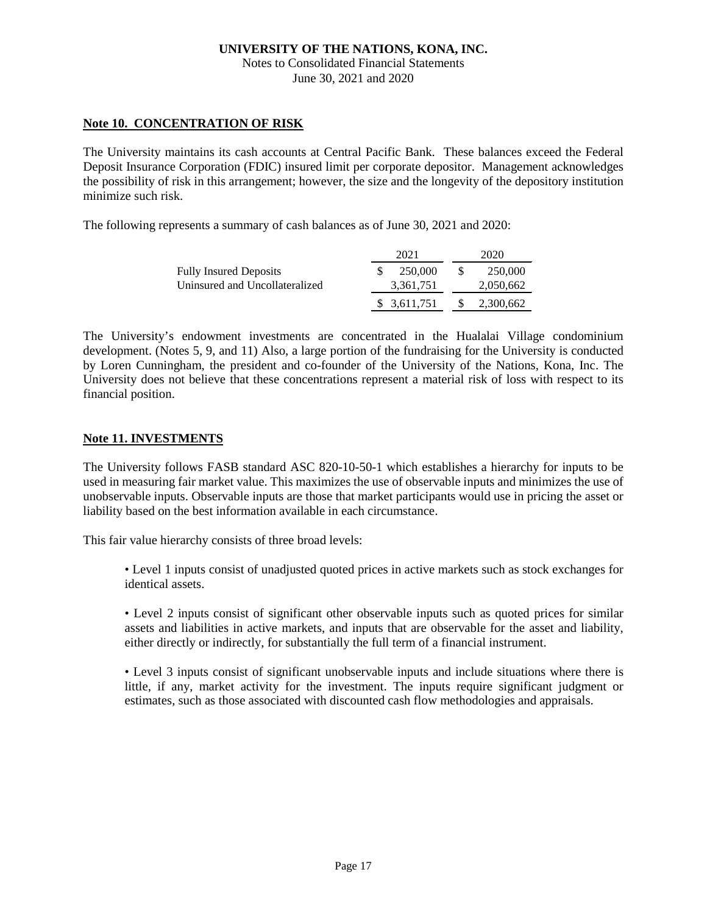Notes to Consolidated Financial Statements June 30, 2021 and 2020

## **Note 10. CONCENTRATION OF RISK**

The University maintains its cash accounts at Central Pacific Bank. These balances exceed the Federal Deposit Insurance Corporation (FDIC) insured limit per corporate depositor. Management acknowledges the possibility of risk in this arrangement; however, the size and the longevity of the depository institution minimize such risk.

The following represents a summary of cash balances as of June 30, 2021 and 2020:

|                                | 2021         | 2020 |           |  |
|--------------------------------|--------------|------|-----------|--|
| <b>Fully Insured Deposits</b>  | 250,000      |      | 250,000   |  |
| Uninsured and Uncollateralized | 3,361,751    |      | 2,050,662 |  |
|                                | \$ 3,611,751 | S    | 2,300,662 |  |

The University's endowment investments are concentrated in the Hualalai Village condominium development. (Notes 5, 9, and 11) Also, a large portion of the fundraising for the University is conducted by Loren Cunningham, the president and co-founder of the University of the Nations, Kona, Inc. The University does not believe that these concentrations represent a material risk of loss with respect to its financial position.

## **Note 11. INVESTMENTS**

The University follows FASB standard ASC 820-10-50-1 which establishes a hierarchy for inputs to be used in measuring fair market value. This maximizes the use of observable inputs and minimizes the use of unobservable inputs. Observable inputs are those that market participants would use in pricing the asset or liability based on the best information available in each circumstance.

This fair value hierarchy consists of three broad levels:

• Level 1 inputs consist of unadjusted quoted prices in active markets such as stock exchanges for identical assets.

• Level 2 inputs consist of significant other observable inputs such as quoted prices for similar assets and liabilities in active markets, and inputs that are observable for the asset and liability, either directly or indirectly, for substantially the full term of a financial instrument.

• Level 3 inputs consist of significant unobservable inputs and include situations where there is little, if any, market activity for the investment. The inputs require significant judgment or estimates, such as those associated with discounted cash flow methodologies and appraisals.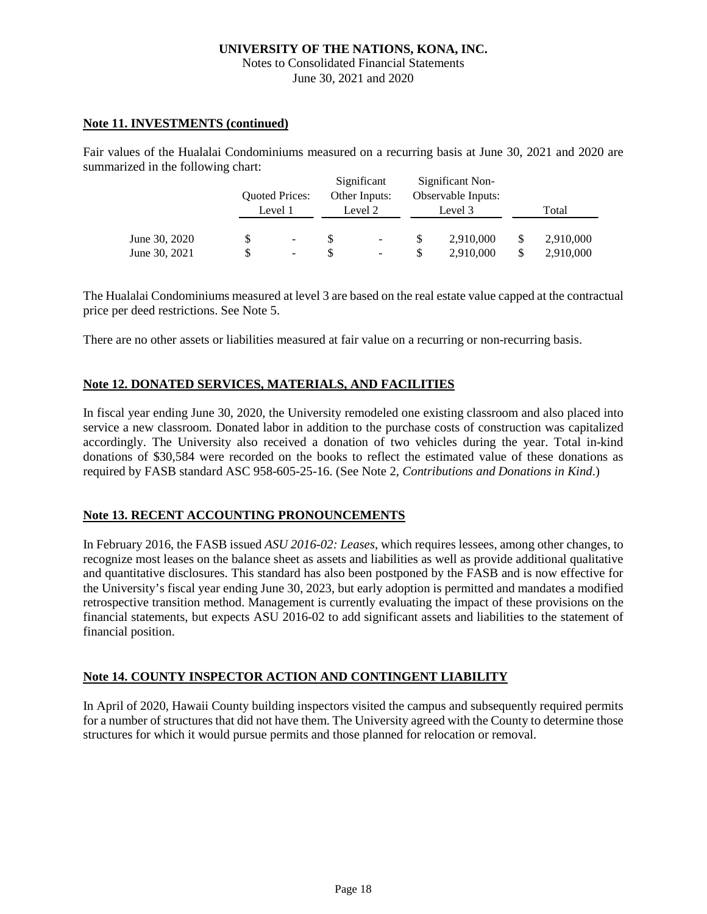#### Notes to Consolidated Financial Statements June 30, 2021 and 2020

## **Note 11. INVESTMENTS (continued)**

Fair values of the Hualalai Condominiums measured on a recurring basis at June 30, 2021 and 2020 are summarized in the following chart:

|               |                       |         | Significant<br>Other Inputs: |         |  | Significant Non-   |       |           |  |
|---------------|-----------------------|---------|------------------------------|---------|--|--------------------|-------|-----------|--|
|               | <b>Ouoted Prices:</b> |         |                              |         |  | Observable Inputs: |       |           |  |
|               |                       | Level 1 |                              | Level 2 |  | Level 3            | Total |           |  |
|               |                       |         |                              |         |  |                    |       |           |  |
| June 30, 2020 |                       | ۰       | S.                           | $\sim$  |  | 2,910,000          | \$    | 2,910,000 |  |
| June 30, 2021 |                       | -       |                              |         |  | 2,910,000          | \$    | 2,910,000 |  |

The Hualalai Condominiums measured at level 3 are based on the real estate value capped at the contractual price per deed restrictions. See Note 5.

There are no other assets or liabilities measured at fair value on a recurring or non-recurring basis.

## **Note 12. DONATED SERVICES, MATERIALS, AND FACILITIES**

In fiscal year ending June 30, 2020, the University remodeled one existing classroom and also placed into service a new classroom. Donated labor in addition to the purchase costs of construction was capitalized accordingly. The University also received a donation of two vehicles during the year. Total in-kind donations of \$30,584 were recorded on the books to reflect the estimated value of these donations as required by FASB standard ASC 958-605-25-16. (See Note 2, *Contributions and Donations in Kind*.)

## **Note 13. RECENT ACCOUNTING PRONOUNCEMENTS**

In February 2016, the FASB issued *ASU 2016-02: Leases*, which requires lessees, among other changes, to recognize most leases on the balance sheet as assets and liabilities as well as provide additional qualitative and quantitative disclosures. This standard has also been postponed by the FASB and is now effective for the University's fiscal year ending June 30, 2023, but early adoption is permitted and mandates a modified retrospective transition method. Management is currently evaluating the impact of these provisions on the financial statements, but expects ASU 2016-02 to add significant assets and liabilities to the statement of financial position.

## **Note 14. COUNTY INSPECTOR ACTION AND CONTINGENT LIABILITY**

In April of 2020, Hawaii County building inspectors visited the campus and subsequently required permits for a number of structures that did not have them. The University agreed with the County to determine those structures for which it would pursue permits and those planned for relocation or removal.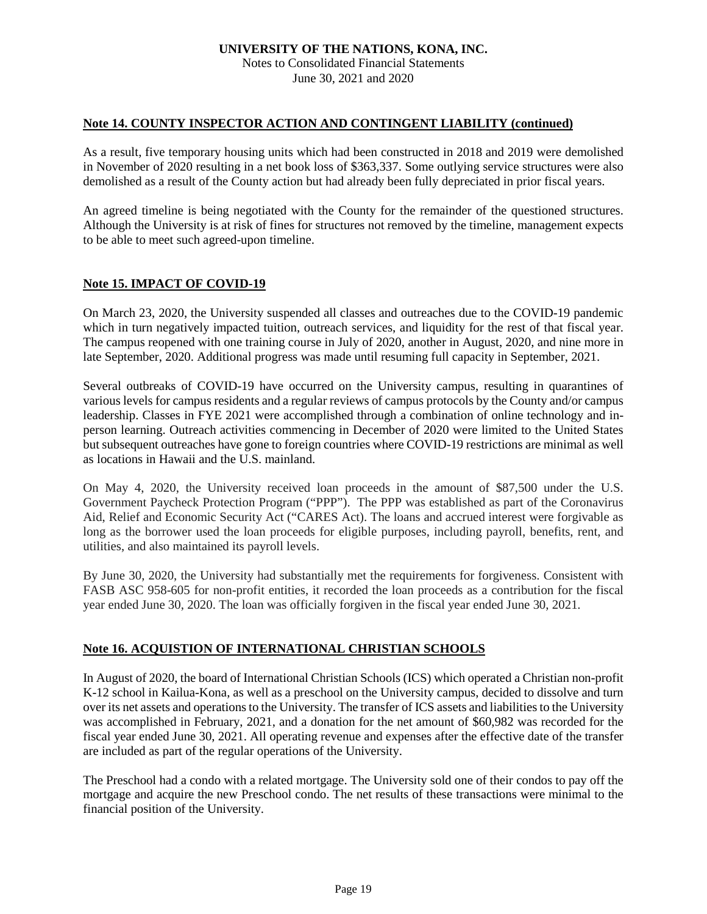Notes to Consolidated Financial Statements June 30, 2021 and 2020

## **Note 14. COUNTY INSPECTOR ACTION AND CONTINGENT LIABILITY (continued)**

As a result, five temporary housing units which had been constructed in 2018 and 2019 were demolished in November of 2020 resulting in a net book loss of \$363,337. Some outlying service structures were also demolished as a result of the County action but had already been fully depreciated in prior fiscal years.

An agreed timeline is being negotiated with the County for the remainder of the questioned structures. Although the University is at risk of fines for structures not removed by the timeline, management expects to be able to meet such agreed-upon timeline.

## **Note 15. IMPACT OF COVID-19**

On March 23, 2020, the University suspended all classes and outreaches due to the COVID-19 pandemic which in turn negatively impacted tuition, outreach services, and liquidity for the rest of that fiscal year. The campus reopened with one training course in July of 2020, another in August, 2020, and nine more in late September, 2020. Additional progress was made until resuming full capacity in September, 2021.

Several outbreaks of COVID-19 have occurred on the University campus, resulting in quarantines of various levels for campus residents and a regular reviews of campus protocols by the County and/or campus leadership. Classes in FYE 2021 were accomplished through a combination of online technology and inperson learning. Outreach activities commencing in December of 2020 were limited to the United States but subsequent outreaches have gone to foreign countries where COVID-19 restrictions are minimal as well as locations in Hawaii and the U.S. mainland.

On May 4, 2020, the University received loan proceeds in the amount of \$87,500 under the U.S. Government Paycheck Protection Program ("PPP"). The PPP was established as part of the Coronavirus Aid, Relief and Economic Security Act ("CARES Act). The loans and accrued interest were forgivable as long as the borrower used the loan proceeds for eligible purposes, including payroll, benefits, rent, and utilities, and also maintained its payroll levels.

By June 30, 2020, the University had substantially met the requirements for forgiveness. Consistent with FASB ASC 958-605 for non-profit entities, it recorded the loan proceeds as a contribution for the fiscal year ended June 30, 2020. The loan was officially forgiven in the fiscal year ended June 30, 2021.

## **Note 16. ACQUISTION OF INTERNATIONAL CHRISTIAN SCHOOLS**

In August of 2020, the board of International Christian Schools (ICS) which operated a Christian non-profit K-12 school in Kailua-Kona, as well as a preschool on the University campus, decided to dissolve and turn over its net assets and operations to the University. The transfer of ICS assets and liabilities to the University was accomplished in February, 2021, and a donation for the net amount of \$60,982 was recorded for the fiscal year ended June 30, 2021. All operating revenue and expenses after the effective date of the transfer are included as part of the regular operations of the University.

The Preschool had a condo with a related mortgage. The University sold one of their condos to pay off the mortgage and acquire the new Preschool condo. The net results of these transactions were minimal to the financial position of the University.